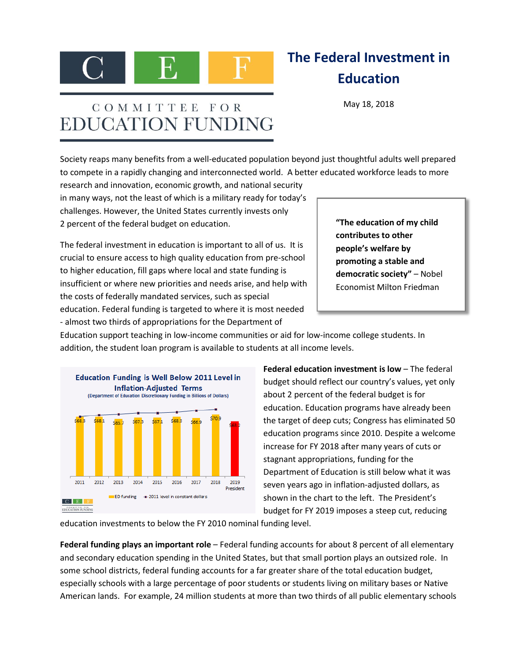

## **The Federal Investment in Education**

May 18, 2018

## COMMITTEE FOR **EDUCATION FUNDING**

Society reaps many benefits from a well-educated population beyond just thoughtful adults well prepared to compete in a rapidly changing and interconnected world. A better educated workforce leads to more

research and innovation, economic growth, and national security in many ways, not the least of which is a military ready for today's challenges. However, the United States currently invests only 2 percent of the federal budget on education.

The federal investment in education is important to all of us. It is crucial to ensure access to high quality education from pre-school to higher education, fill gaps where local and state funding is insufficient or where new priorities and needs arise, and help with the costs of federally mandated services, such as special education. Federal funding is targeted to where it is most needed - almost two thirds of appropriations for the Department of

**"The education of my child contributes to other people's welfare by promoting a stable and democratic society"** – Nobel Economist Milton Friedman

Education support teaching in low-income communities or aid for low-income college students. In addition, the student loan program is available to students at all income levels.



**Federal education investment is low** – The federal budget should reflect our country's values, yet only about 2 percent of the federal budget is for education. Education programs have already been the target of deep cuts; Congress has eliminated 50 education programs since 2010. Despite a welcome increase for FY 2018 after many years of cuts or stagnant appropriations, funding for the Department of Education is still below what it was seven years ago in inflation-adjusted dollars, as shown in the chart to the left. The President's budget for FY 2019 imposes a steep cut, reducing

education investments to below the FY 2010 nominal funding level.

**Federal funding plays an important role** – Federal funding accounts for about 8 percent of all elementary and secondary education spending in the United States, but that small portion plays an outsized role. In some school districts, federal funding accounts for a far greater share of the total education budget, especially schools with a large percentage of poor students or students living on military bases or Native American lands. For example, 24 million students at more than two thirds of all public elementary schools